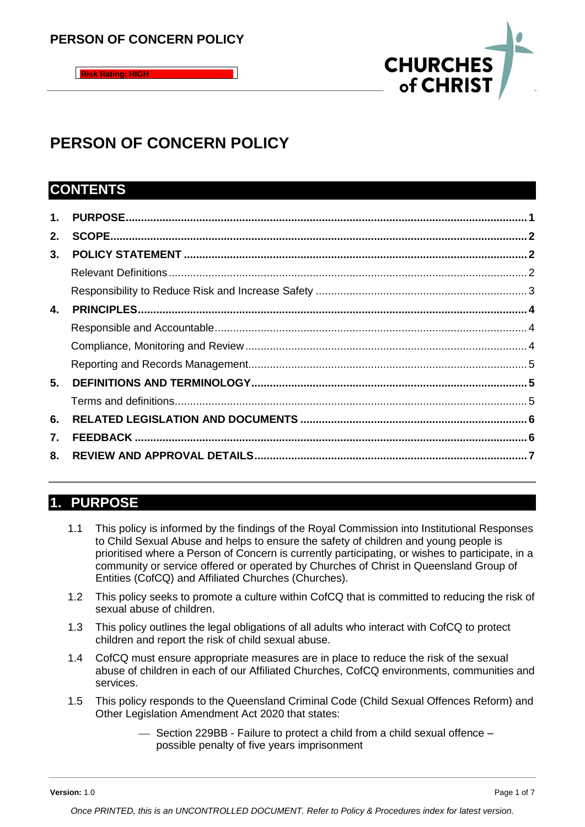**Risk Rating: HIGH** 



# **PERSON OF CONCERN POLICY**

# **CONTENTS**

| $1_{-}$ |  |
|---------|--|
| 2.      |  |
| 3.      |  |
|         |  |
|         |  |
| 4.      |  |
|         |  |
|         |  |
|         |  |
| 5.      |  |
|         |  |
| 6.      |  |
| 7.      |  |
| 8.      |  |
|         |  |

# <span id="page-0-0"></span>**1. PURPOSE**

- 1.1 This policy is informed by the findings of the Royal Commission into Institutional Responses to Child Sexual Abuse and helps to ensure the safety of children and young people is prioritised where a Person of Concern is currently participating, or wishes to participate, in a community or service offered or operated by Churches of Christ in Queensland Group of Entities (CofCQ) and Affiliated Churches (Churches).
- 1.2 This policy seeks to promote a culture within CofCQ that is committed to reducing the risk of sexual abuse of children.
- 1.3 This policy outlines the legal obligations of all adults who interact with CofCQ to protect children and report the risk of child sexual abuse.
- 1.4 CofCQ must ensure appropriate measures are in place to reduce the risk of the sexual abuse of children in each of our Affiliated Churches, CofCQ environments, communities and services.
- 1.5 This policy responds to the Queensland Criminal Code (Child Sexual Offences Reform) and Other Legislation Amendment Act 2020 that states:
	- ― Section 229BB Failure to protect a child from a child sexual offence possible penalty of five years imprisonment

**Version:** 1.0 Page 1 of 7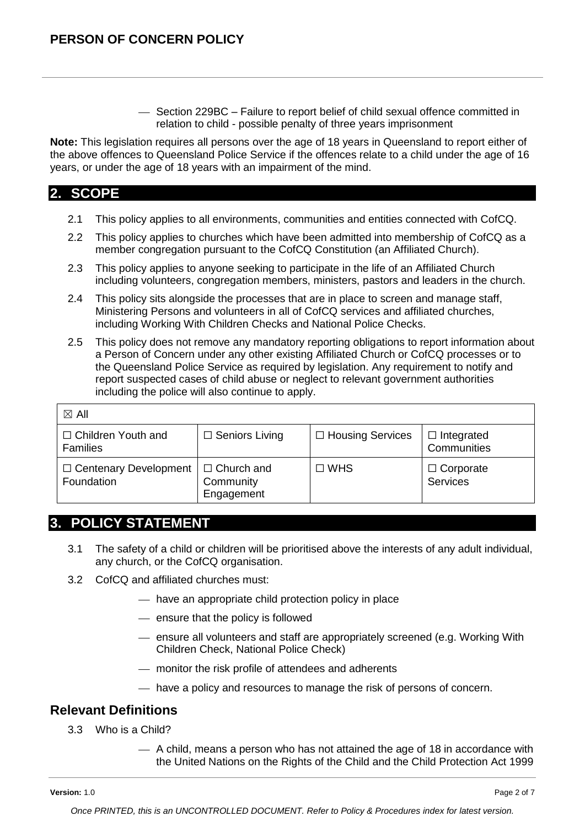― Section 229BC – Failure to report belief of child sexual offence committed in relation to child - possible penalty of three years imprisonment

**Note:** This legislation requires all persons over the age of 18 years in Queensland to report either of the above offences to Queensland Police Service if the offences relate to a child under the age of 16 years, or under the age of 18 years with an impairment of the mind.

#### <span id="page-1-0"></span>**2. SCOPE**

- 2.1 This policy applies to all environments, communities and entities connected with CofCQ.
- 2.2 This policy applies to churches which have been admitted into membership of CofCQ as a member congregation pursuant to the CofCQ Constitution (an Affiliated Church).
- 2.3 This policy applies to anyone seeking to participate in the life of an Affiliated Church including volunteers, congregation members, ministers, pastors and leaders in the church.
- 2.4 This policy sits alongside the processes that are in place to screen and manage staff, Ministering Persons and volunteers in all of CofCQ services and affiliated churches, including Working With Children Checks and National Police Checks.
- 2.5 This policy does not remove any mandatory reporting obligations to report information about a Person of Concern under any other existing Affiliated Church or CofCQ processes or to the Queensland Police Service as required by legislation. Any requirement to notify and report suspected cases of child abuse or neglect to relevant government authorities including the police will also continue to apply.

| $\boxtimes$ All                              |                                              |                         |                                  |
|----------------------------------------------|----------------------------------------------|-------------------------|----------------------------------|
| $\Box$ Children Youth and<br><b>Families</b> | $\Box$ Seniors Living                        | $\Box$ Housing Services | $\Box$ Integrated<br>Communities |
| $\Box$ Centenary Development<br>Foundation   | $\Box$ Church and<br>Community<br>Engagement | $\square$ WHS           | $\Box$ Corporate<br>Services     |

# <span id="page-1-1"></span>**3. POLICY STATEMENT**

- 3.1 The safety of a child or children will be prioritised above the interests of any adult individual, any church, or the CofCQ organisation.
- 3.2 CofCQ and affiliated churches must:
	- ― have an appropriate child protection policy in place
	- ― ensure that the policy is followed
	- ― ensure all volunteers and staff are appropriately screened (e.g. Working With Children Check, National Police Check)
	- ― monitor the risk profile of attendees and adherents
	- ― have a policy and resources to manage the risk of persons of concern.

## <span id="page-1-2"></span>**Relevant Definitions**

- 3.3 Who is a Child?
	- ― A child, means a person who has not attained the age of 18 in accordance with the United Nations on the Rights of the Child and the Child Protection Act 1999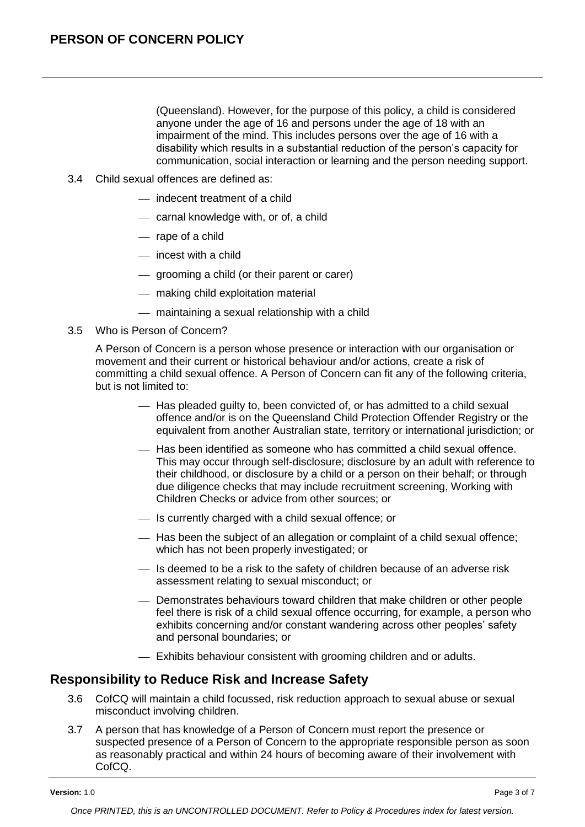(Queensland). However, for the purpose of this policy, a child is considered anyone under the age of 16 and persons under the age of 18 with an impairment of the mind. This includes persons over the age of 16 with a disability which results in a substantial reduction of the person's capacity for communication, social interaction or learning and the person needing support.

- 3.4 Child sexual offences are defined as:
	- ― indecent treatment of a child
	- ― carnal knowledge with, or of, a child
	- ― rape of a child
	- ― incest with a child
	- ― grooming a child (or their parent or carer)
	- ― making child exploitation material
	- ― maintaining a sexual relationship with a child
- 3.5 Who is Person of Concern?

A Person of Concern is a person whose presence or interaction with our organisation or movement and their current or historical behaviour and/or actions, create a risk of committing a child sexual offence. A Person of Concern can fit any of the following criteria, but is not limited to:

- ― Has pleaded guilty to, been convicted of, or has admitted to a child sexual offence and/or is on the Queensland Child Protection Offender Registry or the equivalent from another Australian state, territory or international jurisdiction; or
- ― Has been identified as someone who has committed a child sexual offence. This may occur through self-disclosure; disclosure by an adult with reference to their childhood, or disclosure by a child or a person on their behalf; or through due diligence checks that may include recruitment screening, Working with Children Checks or advice from other sources; or
- ― Is currently charged with a child sexual offence; or
- ― Has been the subject of an allegation or complaint of a child sexual offence; which has not been properly investigated; or
- ― Is deemed to be a risk to the safety of children because of an adverse risk assessment relating to sexual misconduct; or
- ― Demonstrates behaviours toward children that make children or other people feel there is risk of a child sexual offence occurring, for example, a person who exhibits concerning and/or constant wandering across other peoples' safety and personal boundaries; or
- ― Exhibits behaviour consistent with grooming children and or adults.

#### <span id="page-2-0"></span>**Responsibility to Reduce Risk and Increase Safety**

- 3.6 CofCQ will maintain a child focussed, risk reduction approach to sexual abuse or sexual misconduct involving children.
- 3.7 A person that has knowledge of a Person of Concern must report the presence or suspected presence of a Person of Concern to the appropriate responsible person as soon as reasonably practical and within 24 hours of becoming aware of their involvement with CofCQ.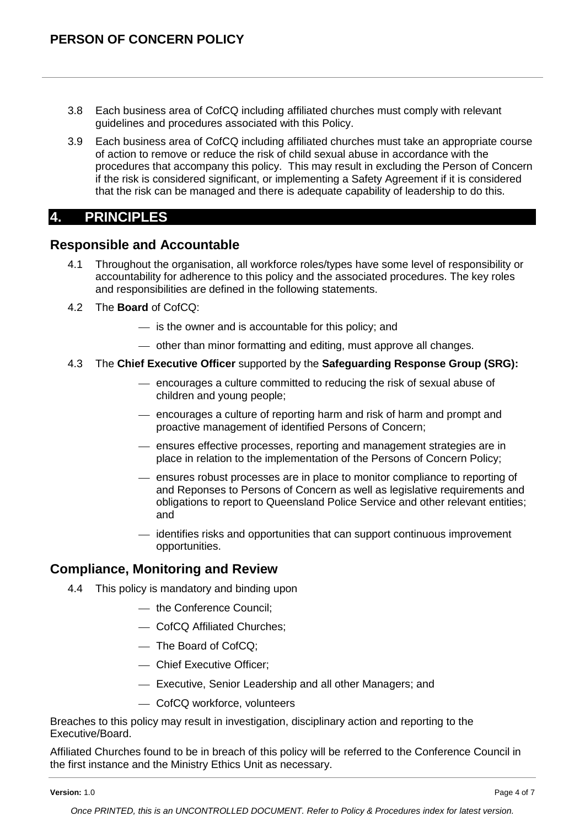- 3.8 Each business area of CofCQ including affiliated churches must comply with relevant guidelines and procedures associated with this Policy.
- 3.9 Each business area of CofCQ including affiliated churches must take an appropriate course of action to remove or reduce the risk of child sexual abuse in accordance with the procedures that accompany this policy. This may result in excluding the Person of Concern if the risk is considered significant, or implementing a Safety Agreement if it is considered that the risk can be managed and there is adequate capability of leadership to do this.

## <span id="page-3-0"></span>**4. PRINCIPLES**

#### <span id="page-3-1"></span>**Responsible and Accountable**

- 4.1 Throughout the organisation, all workforce roles/types have some level of responsibility or accountability for adherence to this policy and the associated procedures. The key roles and responsibilities are defined in the following statements.
- 4.2 The **Board** of CofCQ:
	- ― is the owner and is accountable for this policy; and
	- ― other than minor formatting and editing, must approve all changes.
- 4.3 The **Chief Executive Officer** supported by the **Safeguarding Response Group (SRG):**
	- ― encourages a culture committed to reducing the risk of sexual abuse of children and young people;
	- ― encourages a culture of reporting harm and risk of harm and prompt and proactive management of identified Persons of Concern;
	- ― ensures effective processes, reporting and management strategies are in place in relation to the implementation of the Persons of Concern Policy;
	- ― ensures robust processes are in place to monitor compliance to reporting of and Reponses to Persons of Concern as well as legislative requirements and obligations to report to Queensland Police Service and other relevant entities; and
	- ― identifies risks and opportunities that can support continuous improvement opportunities.

#### <span id="page-3-2"></span>**Compliance, Monitoring and Review**

- 4.4 This policy is mandatory and binding upon
	- ― the Conference Council;
	- ― CofCQ Affiliated Churches;
	- ― The Board of CofCQ;
	- ― Chief Executive Officer;
	- ― Executive, Senior Leadership and all other Managers; and
	- ― CofCQ workforce, volunteers

Breaches to this policy may result in investigation, disciplinary action and reporting to the Executive/Board.

Affiliated Churches found to be in breach of this policy will be referred to the Conference Council in the first instance and the Ministry Ethics Unit as necessary.

**Version:** 1.0 Page 4 of 7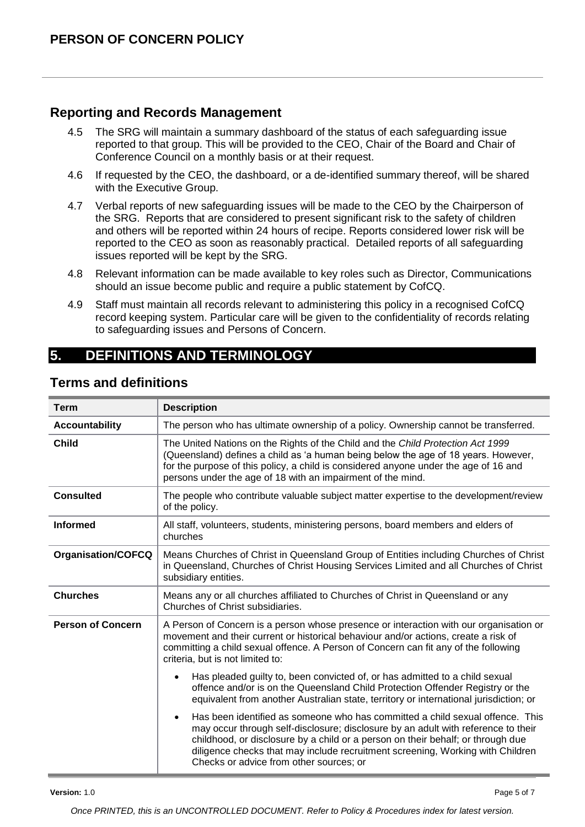#### <span id="page-4-0"></span>**Reporting and Records Management**

- 4.5 The SRG will maintain a summary dashboard of the status of each safeguarding issue reported to that group. This will be provided to the CEO, Chair of the Board and Chair of Conference Council on a monthly basis or at their request.
- 4.6 If requested by the CEO, the dashboard, or a de-identified summary thereof, will be shared with the Executive Group.
- 4.7 Verbal reports of new safeguarding issues will be made to the CEO by the Chairperson of the SRG. Reports that are considered to present significant risk to the safety of children and others will be reported within 24 hours of recipe. Reports considered lower risk will be reported to the CEO as soon as reasonably practical. Detailed reports of all safeguarding issues reported will be kept by the SRG.
- 4.8 Relevant information can be made available to key roles such as Director, Communications should an issue become public and require a public statement by CofCQ.
- 4.9 Staff must maintain all records relevant to administering this policy in a recognised CofCQ record keeping system. Particular care will be given to the confidentiality of records relating to safeguarding issues and Persons of Concern.

# <span id="page-4-1"></span>**5. DEFINITIONS AND TERMINOLOGY**

| <b>Term</b>               | <b>Description</b>                                                                                                                                                                                                                                                                                                                                                                 |  |  |
|---------------------------|------------------------------------------------------------------------------------------------------------------------------------------------------------------------------------------------------------------------------------------------------------------------------------------------------------------------------------------------------------------------------------|--|--|
| <b>Accountability</b>     | The person who has ultimate ownership of a policy. Ownership cannot be transferred.                                                                                                                                                                                                                                                                                                |  |  |
| <b>Child</b>              | The United Nations on the Rights of the Child and the Child Protection Act 1999<br>(Queensland) defines a child as 'a human being below the age of 18 years. However,<br>for the purpose of this policy, a child is considered anyone under the age of 16 and<br>persons under the age of 18 with an impairment of the mind.                                                       |  |  |
| <b>Consulted</b>          | The people who contribute valuable subject matter expertise to the development/review<br>of the policy.                                                                                                                                                                                                                                                                            |  |  |
| <b>Informed</b>           | All staff, volunteers, students, ministering persons, board members and elders of<br>churches                                                                                                                                                                                                                                                                                      |  |  |
| <b>Organisation/COFCQ</b> | Means Churches of Christ in Queensland Group of Entities including Churches of Christ<br>in Queensland, Churches of Christ Housing Services Limited and all Churches of Christ<br>subsidiary entities.                                                                                                                                                                             |  |  |
| <b>Churches</b>           | Means any or all churches affiliated to Churches of Christ in Queensland or any<br>Churches of Christ subsidiaries.                                                                                                                                                                                                                                                                |  |  |
| <b>Person of Concern</b>  | A Person of Concern is a person whose presence or interaction with our organisation or<br>movement and their current or historical behaviour and/or actions, create a risk of<br>committing a child sexual offence. A Person of Concern can fit any of the following<br>criteria, but is not limited to:                                                                           |  |  |
|                           | Has pleaded guilty to, been convicted of, or has admitted to a child sexual<br>offence and/or is on the Queensland Child Protection Offender Registry or the<br>equivalent from another Australian state, territory or international jurisdiction; or                                                                                                                              |  |  |
|                           | Has been identified as someone who has committed a child sexual offence. This<br>may occur through self-disclosure; disclosure by an adult with reference to their<br>childhood, or disclosure by a child or a person on their behalf; or through due<br>diligence checks that may include recruitment screening, Working with Children<br>Checks or advice from other sources; or |  |  |

#### <span id="page-4-2"></span>**Terms and definitions**

*Once PRINTED, this is an UNCONTROLLED DOCUMENT. Refer to Policy & Procedures index for latest version.*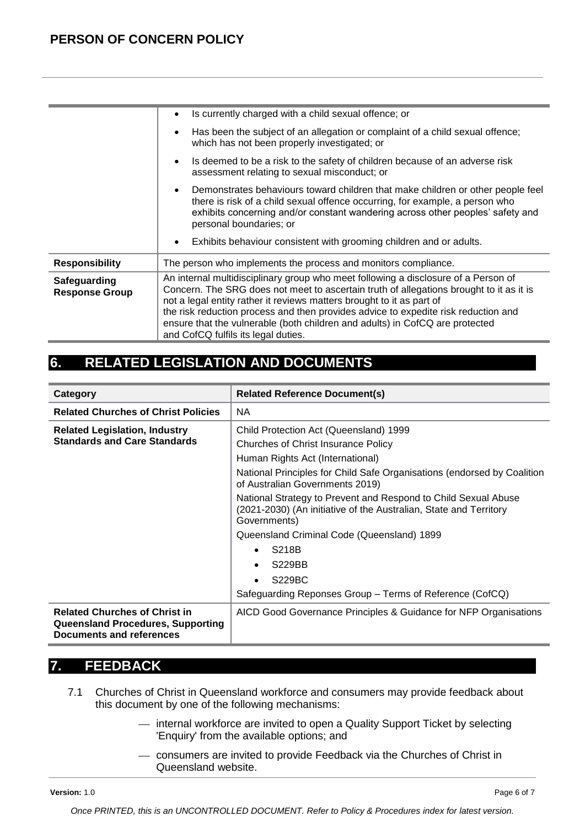|                                                                                                                                                                                                                                                                                                                                                                                                                                                                                                              | Is currently charged with a child sexual offence; or                                                                                                                                                                                                                         |
|--------------------------------------------------------------------------------------------------------------------------------------------------------------------------------------------------------------------------------------------------------------------------------------------------------------------------------------------------------------------------------------------------------------------------------------------------------------------------------------------------------------|------------------------------------------------------------------------------------------------------------------------------------------------------------------------------------------------------------------------------------------------------------------------------|
|                                                                                                                                                                                                                                                                                                                                                                                                                                                                                                              | Has been the subject of an allegation or complaint of a child sexual offence;<br>which has not been properly investigated; or                                                                                                                                                |
|                                                                                                                                                                                                                                                                                                                                                                                                                                                                                                              | Is deemed to be a risk to the safety of children because of an adverse risk<br>assessment relating to sexual misconduct; or                                                                                                                                                  |
|                                                                                                                                                                                                                                                                                                                                                                                                                                                                                                              | Demonstrates behaviours toward children that make children or other people feel<br>there is risk of a child sexual offence occurring, for example, a person who<br>exhibits concerning and/or constant wandering across other peoples' safety and<br>personal boundaries; or |
|                                                                                                                                                                                                                                                                                                                                                                                                                                                                                                              | Exhibits behaviour consistent with grooming children and or adults.<br>$\bullet$                                                                                                                                                                                             |
| <b>Responsibility</b>                                                                                                                                                                                                                                                                                                                                                                                                                                                                                        | The person who implements the process and monitors compliance.                                                                                                                                                                                                               |
| An internal multidisciplinary group who meet following a disclosure of a Person of<br>Safeguarding<br>Concern. The SRG does not meet to ascertain truth of allegations brought to it as it is<br><b>Response Group</b><br>not a legal entity rather it reviews matters brought to it as part of<br>the risk reduction process and then provides advice to expedite risk reduction and<br>ensure that the vulnerable (both children and adults) in CofCQ are protected<br>and CofCQ fulfils its legal duties. |                                                                                                                                                                                                                                                                              |

# <span id="page-5-0"></span>**6. RELATED LEGISLATION AND DOCUMENTS**

| Category                                                                                              | <b>Related Reference Document(s)</b>                                                                                                                                                         |
|-------------------------------------------------------------------------------------------------------|----------------------------------------------------------------------------------------------------------------------------------------------------------------------------------------------|
| <b>Related Churches of Christ Policies</b>                                                            | <b>NA</b>                                                                                                                                                                                    |
| <b>Related Legislation, Industry</b><br><b>Standards and Care Standards</b>                           | Child Protection Act (Queensland) 1999<br>Churches of Christ Insurance Policy<br>Human Rights Act (International)<br>National Principles for Child Safe Organisations (endorsed by Coalition |
|                                                                                                       | of Australian Governments 2019)<br>National Strategy to Prevent and Respond to Child Sexual Abuse<br>(2021-2030) (An initiative of the Australian, State and Territory<br>Governments)       |
|                                                                                                       | Queensland Criminal Code (Queensland) 1899<br>S218B<br>S229BB<br><b>S229BC</b><br>Safeguarding Reponses Group – Terms of Reference (CofCQ)                                                   |
| <b>Related Churches of Christ in</b><br>Queensland Procedures, Supporting<br>Documents and references | AICD Good Governance Principles & Guidance for NFP Organisations                                                                                                                             |

# <span id="page-5-1"></span>**7. FEEDBACK**

- 7.1 Churches of Christ in Queensland workforce and consumers may provide feedback about this document by one of the following mechanisms:
	- ― internal workforce are invited to open a Quality Support Ticket by selecting 'Enquiry' from the available options; and
	- ― consumers are invited to provide Feedback via the Churches of Christ in Queensland website.